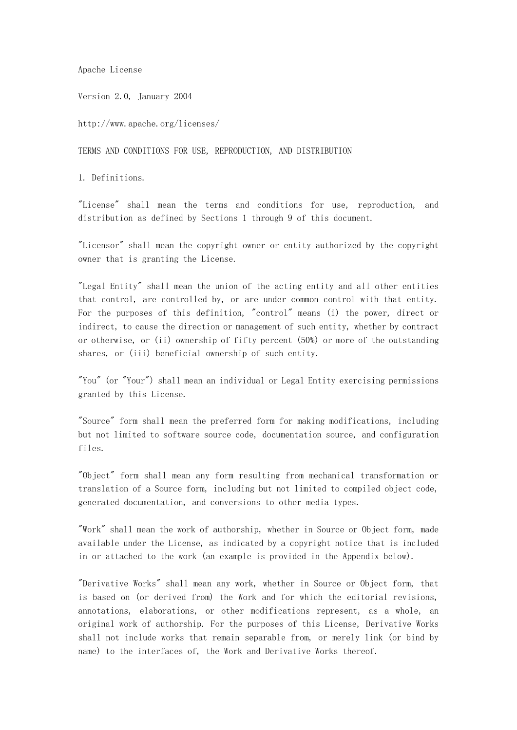Apache License

Version 2.0, January 2004

http://www.apache.org/licenses/

## TERMS AND CONDITIONS FOR USE, REPRODUCTION, AND DISTRIBUTION

1. Definitions.

"License" shall mean the terms and conditions for use, reproduction, and distribution as defined by Sections 1 through 9 of this document.

"Licensor" shall mean the copyright owner or entity authorized by the copyright owner that is granting the License.

"Legal Entity" shall mean the union of the acting entity and all other entities that control, are controlled by, or are under common control with that entity. For the purposes of this definition, "control" means (i) the power, direct or indirect, to cause the direction or management of such entity, whether by contract or otherwise, or (ii) ownership of fifty percent (50%) or more of the outstanding shares, or (iii) beneficial ownership of such entity.

"You" (or "Your") shall mean an individual or Legal Entity exercising permissions granted by this License.

"Source" form shall mean the preferred form for making modifications, including but not limited to software source code, documentation source, and configuration files.

"Object" form shall mean any form resulting from mechanical transformation or translation of a Source form, including but not limited to compiled object code, generated documentation, and conversions to other media types.

"Work" shall mean the work of authorship, whether in Source or Object form, made available under the License, as indicated by a copyright notice that is included in or attached to the work (an example is provided in the Appendix below).

"Derivative Works" shall mean any work, whether in Source or Object form, that is based on (or derived from) the Work and for which the editorial revisions, annotations, elaborations, or other modifications represent, as a whole, an original work of authorship. For the purposes of this License, Derivative Works shall not include works that remain separable from, or merely link (or bind by name) to the interfaces of, the Work and Derivative Works thereof.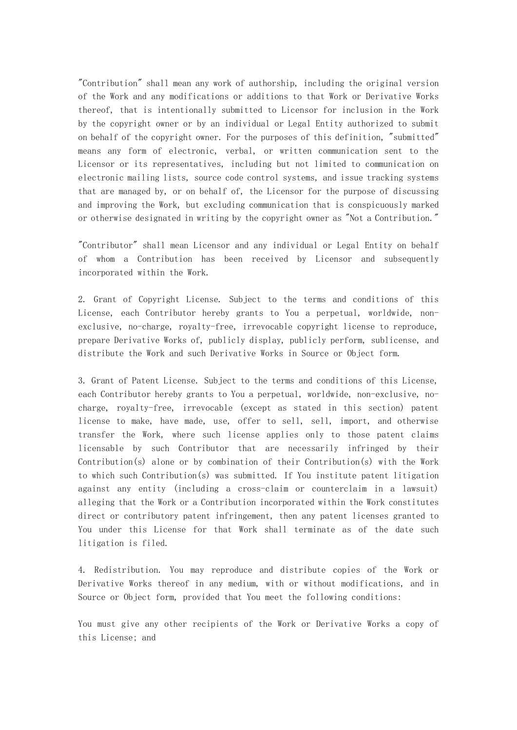"Contribution" shall mean any work of authorship, including the original version of the Work and any modifications or additions to that Work or Derivative Works thereof, that is intentionally submitted to Licensor for inclusion in the Work by the copyright owner or by an individual or Legal Entity authorized to submit on behalf of the copyright owner. For the purposes of this definition, "submitted" means any form of electronic, verbal, or written communication sent to the Licensor or its representatives, including but not limited to communication on electronic mailing lists, source code control systems, and issue tracking systems that are managed by, or on behalf of, the Licensor for the purpose of discussing and improving the Work, but excluding communication that is conspicuously marked or otherwise designated in writing by the copyright owner as "Not a Contribution."

"Contributor" shall mean Licensor and any individual or Legal Entity on behalf of whom a Contribution has been received by Licensor and subsequently incorporated within the Work.

2. Grant of Copyright License. Subject to the terms and conditions of this License, each Contributor hereby grants to You a perpetual, worldwide, nonexclusive, no-charge, royalty-free, irrevocable copyright license to reproduce, prepare Derivative Works of, publicly display, publicly perform, sublicense, and distribute the Work and such Derivative Works in Source or Object form.

3. Grant of Patent License. Subject to the terms and conditions of this License, each Contributor hereby grants to You a perpetual, worldwide, non-exclusive, nocharge, royalty-free, irrevocable (except as stated in this section) patent license to make, have made, use, offer to sell, sell, import, and otherwise transfer the Work, where such license applies only to those patent claims licensable by such Contributor that are necessarily infringed by their Contribution(s) alone or by combination of their Contribution(s) with the Work to which such Contribution(s) was submitted. If You institute patent litigation against any entity (including a cross-claim or counterclaim in a lawsuit) alleging that the Work or a Contribution incorporated within the Work constitutes direct or contributory patent infringement, then any patent licenses granted to You under this License for that Work shall terminate as of the date such litigation is filed.

4. Redistribution. You may reproduce and distribute copies of the Work or Derivative Works thereof in any medium, with or without modifications, and in Source or Object form, provided that You meet the following conditions:

You must give any other recipients of the Work or Derivative Works a copy of this License; and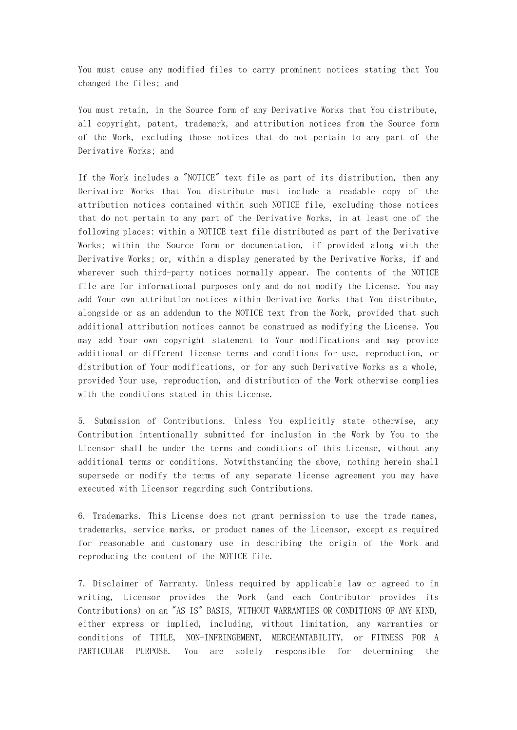You must cause any modified files to carry prominent notices stating that You changed the files; and

You must retain, in the Source form of any Derivative Works that You distribute, all copyright, patent, trademark, and attribution notices from the Source form of the Work, excluding those notices that do not pertain to any part of the Derivative Works; and

If the Work includes a "NOTICE" text file as part of its distribution, then any Derivative Works that You distribute must include a readable copy of the attribution notices contained within such NOTICE file, excluding those notices that do not pertain to any part of the Derivative Works, in at least one of the following places: within a NOTICE text file distributed as part of the Derivative Works; within the Source form or documentation, if provided along with the Derivative Works; or, within a display generated by the Derivative Works, if and wherever such third-party notices normally appear. The contents of the NOTICE file are for informational purposes only and do not modify the License. You may add Your own attribution notices within Derivative Works that You distribute, alongside or as an addendum to the NOTICE text from the Work, provided that such additional attribution notices cannot be construed as modifying the License. You may add Your own copyright statement to Your modifications and may provide additional or different license terms and conditions for use, reproduction, or distribution of Your modifications, or for any such Derivative Works as a whole, provided Your use, reproduction, and distribution of the Work otherwise complies with the conditions stated in this License.

5. Submission of Contributions. Unless You explicitly state otherwise, any Contribution intentionally submitted for inclusion in the Work by You to the Licensor shall be under the terms and conditions of this License, without any additional terms or conditions. Notwithstanding the above, nothing herein shall supersede or modify the terms of any separate license agreement you may have executed with Licensor regarding such Contributions.

6. Trademarks. This License does not grant permission to use the trade names, trademarks, service marks, or product names of the Licensor, except as required for reasonable and customary use in describing the origin of the Work and reproducing the content of the NOTICE file.

7. Disclaimer of Warranty. Unless required by applicable law or agreed to in writing, Licensor provides the Work (and each Contributor provides its Contributions) on an "AS IS" BASIS, WITHOUT WARRANTIES OR CONDITIONS OF ANY KIND, either express or implied, including, without limitation, any warranties or conditions of TITLE, NON-INFRINGEMENT, MERCHANTABILITY, or FITNESS FOR A PARTICULAR PURPOSE. You are solely responsible for determining the